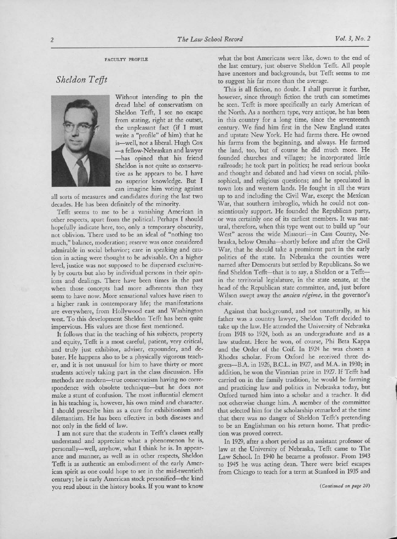## Sheldon Tefft



Without intending to pin the dread label of conservatism on Sheldon Tefft, I see no escape from stating, right at the outset, the unpleasant fact (if I must write a "profile" of him) that he is-well, not <sup>a</sup> liberal. Hugh Cox -a fellow-Nebraskan and lawyer -has opined that his friend Sheldon is not quite so conservative as he appears to be. I have no superior knowledge. But I can imagine him voting against

all sorts of measures and candidates during the last two decades. He has been definitely of the minority.

Tefft seems to me to be <sup>a</sup> vanishing American in other respects, apart from the political. Perhaps I should hopefully indicate here, too, only <sup>a</sup> temporary obscurity, not oblivion. There used to be an ideal of "nothing too much," balance, moderation; reserve was once considered admirable in social behavior; care in speaking and caution in acting were thought to be advisable. On <sup>a</sup> higher level, justice was not supposed to be dispensed exclusively by courts but also by individual persons in their opinions and dealings. There have been times in the past when those concepts had more adherents than they seem to have now. More sensational values have risen to <sup>a</sup> higher rank in contemporary life; the manifestations are everywhere, from Hollywood east and Washington west. To this development Sheldon Tefft has been quite impervious. His values are those first mentioned.

It follows that in the teaching of his subjects, property and equity, Tefft is <sup>a</sup> most careful, patient, very critical, and truly just exhibitor, adviser, expounder, and debater. He happens also to be <sup>a</sup> physically vigorous teacher, and it is not unusual for him to have thirty or more students actively taking part in the class discussion. His methods are modern-true conservatism having no correspondence with obsolete technique-but he does not make <sup>a</sup> stunt of confusion. The most influential element in his teaching is, however, his own mind and character. I should prescribe him as <sup>a</sup> cure for exhibitionism and dilettantism. He has been effective in both diseases and not only in the field of law.

I am not sure that the students in Tefft's classes really understand and appreciate what <sup>a</sup> phenomenon he is, personally-well, anyhow, what I think he is. In appearance and manner, as well as in other respects, Sheldon Tefft is as authentic an embodiment of the early American spirit as one could hope to see in the mid-twentieth century; he is early American stock personified-the kind you read about in the history books. If you want to know what the best Americans were like, down to the end of the last century, just observe Sheldon Tefft. All people have ancestors and backgrounds, but Tefft seems to me to suggest his far more than the average.

This is all fiction, no doubt. I shall pursue it further, however, since through fiction the truth can sometimes be seen. Tefft is more specifically an early American of the North. As <sup>a</sup> northern type, very antique, he has been in this country for <sup>a</sup> long time, since the seventeenth century. We find him first in the New England states and upstate New York. He had farms there. He owned his farms from the beginning, and always. He farmed the land, too, but of course he did much more. He founded churches and villages; he incorporated little railroads; he took part in politics; he read serious books and thought and debated and had views on social, philosophical, and religious questions; and he speculated in town lots and western lands. He fought in all the wars up to and including the Civil War, except the Mexican War, that southern imbroglio, which he could not conscientiously support. He founded the Republican party, or was certainly one of its earliest members. It was natural, therefore, when this type went out to build up "our West" across the wide Missouri-in Cass County, Nebraska, below Omaha-shortly before and after the Civil War, that he should take <sup>a</sup> prominent part in the early politics of the state. In Nebraska the counties were named after Democrats but settled by Republicans. So we find Sheldon Tefft-that is to say, a Sheldon or a Tefftin the territorial legislature, in the state senate, at the head of the Republican state committee, and, just before Wilson swept away the *ancien régime*, in the governor's chair.

Against that background, and not unnaturally, as his father was <sup>a</sup> country lawyer, Sheldon Tefft decided to take up the law. He attended the University of Nebraska from <sup>1918</sup> to 1924, both as an undergraduate and as <sup>a</sup> law student. Here he won, of course, Phi Beta Kappa and the Order of the Coif. In 1924 he was chosen <sup>a</sup> Rhodes scholar. From Oxford he received three degrees-B.A. in 1926, B.C.L. in 1927, and M.A. in 1930; in addition, he won the Vinerian prize in 1927. If Tefft had carried on in the family tradition, he would be farming and practicing law and politics in Nebraska today, but Oxford turned him into <sup>a</sup> scholar and <sup>a</sup> teacher. It did not otherwise change him. A member of the committee that selected him for the scholarship remarked at the time that there was no danger of Sheldon Tefft's pretending to be an Englishman on his return home. That prediction was proved correct.

In 1929, after <sup>a</sup> short period as an assistant professor of law at the University of Nebraska, Tefft came to The Law School. In <sup>1940</sup> he became <sup>a</sup> professor. From <sup>1943</sup> to <sup>1945</sup> he was acting dean. There were brief escapes from Chicago to teach for <sup>a</sup> term at Stanford in <sup>1935</sup> and